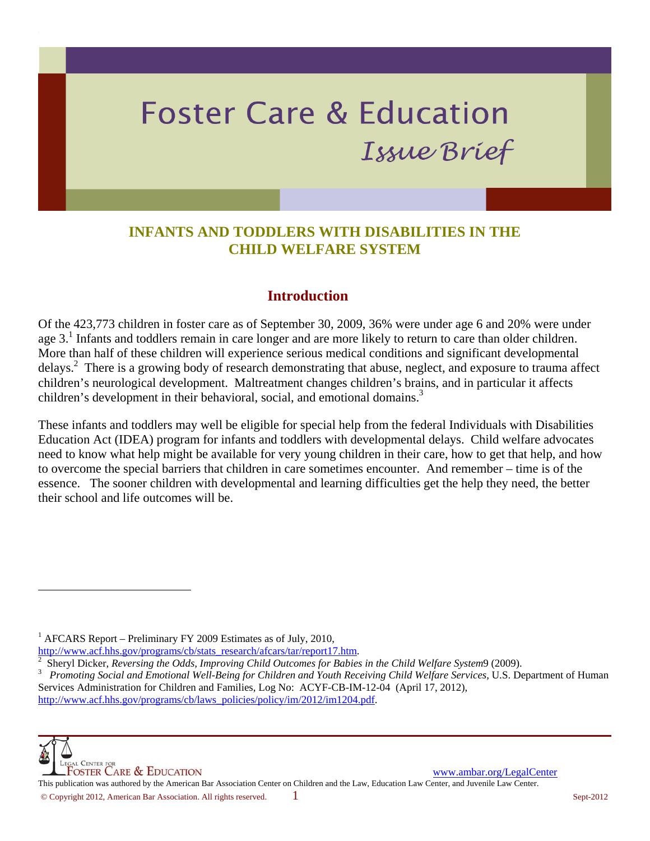# **Foster Care & Education** Issue Brief

## **INFANTS AND TODDLERS WITH DISABILITIES IN THE CHILD WELFARE SYSTEM**

#### **Introduction**

Of the 423,773 children in foster care as of September 30, 2009, 36% were under age 6 and 20% were under age 3.<sup>1</sup> Infants and toddlers remain in care longer and are more likely to return to care than older children. More than half of these children will experience serious medical conditions and significant developmental delays.<sup>2</sup> There is a growing body of research demonstrating that abuse, neglect, and exposure to trauma affect children's neurological development. Maltreatment changes children's brains, and in particular it affects children's development in their behavioral, social, and emotional domains.<sup>3</sup>

These infants and toddlers may well be eligible for special help from the federal Individuals with Disabilities Education Act (IDEA) program for infants and toddlers with developmental delays. Child welfare advocates need to know what help might be available for very young children in their care, how to get that help, and how to overcome the special barriers that children in care sometimes encounter. And remember – time is of the essence. The sooner children with developmental and learning difficulties get the help they need, the better their school and life outcomes will be.

<sup>1</sup> AFCARS Report – Preliminary FY 2009 Estimates as of July, 2010,

http://www.acf.hhs.gov/programs/cb/stats\_research/afcars/tar/report17.htm.

 $\overline{a}$ 

**WE LEGAL CENTER FOR**<br> **FOSTER CARE & EDUCATION**<br>
This publication was authored by the American Bar Association Center on Children and the Law, Education Law Center, and Juvenile Law Center. © Copyright 2012, American Bar Association. All rights reserved. 1 Sept-2012

<sup>&</sup>lt;sup>2</sup> Sheryl Dicker, *Reversing the Odds, Improving Child Outcomes for Babies in the Child Welfare System9 (2009).*<br><sup>3</sup> Promoting Social and Emotional Well-Being for Children and Youth Receiving Child Welfare Services U.S. D

*Promoting Social and Emotional Well-Being for Children and Youth Receiving Child Welfare Services,* U.S. Department of Human Services Administration for Children and Families, Log No: ACYF-CB-IM-12-04 (April 17, 2012), http://www.acf.hhs.gov/programs/cb/laws\_policies/policy/im/2012/im1204.pdf.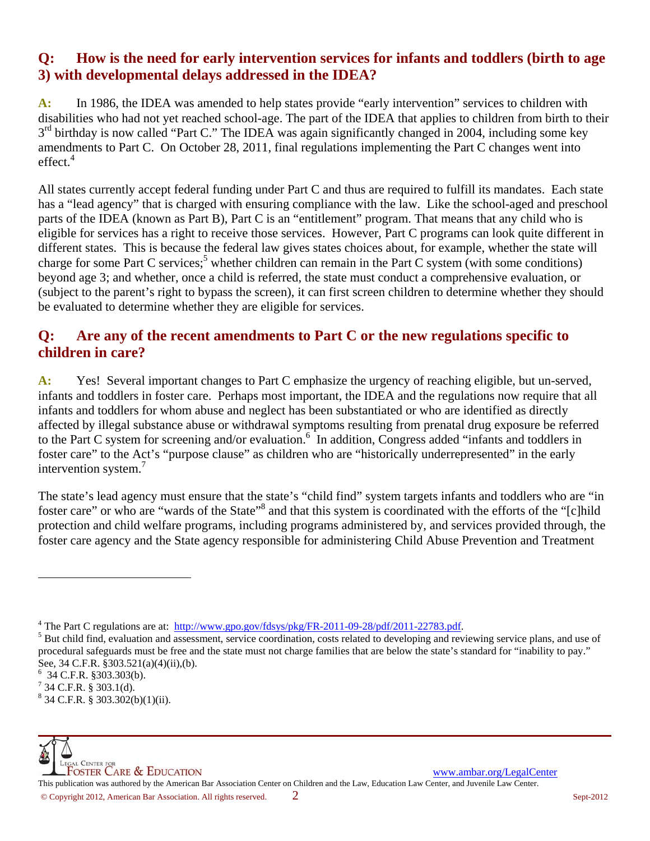### **Q: How is the need for early intervention services for infants and toddlers (birth to age 3) with developmental delays addressed in the IDEA?**

**A:** In 1986, the IDEA was amended to help states provide "early intervention" services to children with disabilities who had not yet reached school-age. The part of the IDEA that applies to children from birth to their  $3<sup>rd</sup>$  birthday is now called "Part C." The IDEA was again significantly changed in 2004, including some key amendments to Part C. On October 28, 2011, final regulations implementing the Part C changes went into  $effect.<sup>4</sup>$ 

All states currently accept federal funding under Part C and thus are required to fulfill its mandates. Each state has a "lead agency" that is charged with ensuring compliance with the law. Like the school-aged and preschool parts of the IDEA (known as Part B), Part C is an "entitlement" program. That means that any child who is eligible for services has a right to receive those services. However, Part C programs can look quite different in different states. This is because the federal law gives states choices about, for example, whether the state will charge for some Part C services;<sup>5</sup> whether children can remain in the Part C system (with some conditions) beyond age 3; and whether, once a child is referred, the state must conduct a comprehensive evaluation, or (subject to the parent's right to bypass the screen), it can first screen children to determine whether they should be evaluated to determine whether they are eligible for services.

## **Q: Are any of the recent amendments to Part C or the new regulations specific to children in care?**

**A:** Yes! Several important changes to Part C emphasize the urgency of reaching eligible, but un-served, infants and toddlers in foster care. Perhaps most important, the IDEA and the regulations now require that all infants and toddlers for whom abuse and neglect has been substantiated or who are identified as directly affected by illegal substance abuse or withdrawal symptoms resulting from prenatal drug exposure be referred to the Part C system for screening and/or evaluation.<sup>6</sup> In addition, Congress added "infants and toddlers in foster care" to the Act's "purpose clause" as children who are "historically underrepresented" in the early intervention system.<sup>7</sup>

The state's lead agency must ensure that the state's "child find" system targets infants and toddlers who are "in foster care" or who are "wards of the State"<sup>8</sup> and that this system is coordinated with the efforts of the "[c]hild protection and child welfare programs, including programs administered by, and services provided through, the foster care agency and the State agency responsible for administering Child Abuse Prevention and Treatment

 $\overline{\phantom{a}}$ 

<sup>&</sup>lt;sup>4</sup> The Part C regulations are at:  $\frac{\text{http://www.gpo.gov/fdsys/pkg/FR-2011-09-28/pdf/2011-22783.pdf}}{5 \text{ Put child find a} (1.5 \text{ ft})}$ 

<sup>&</sup>lt;sup>5</sup> But child find, evaluation and assessment, service coordination, costs related to developing and reviewing service plans, and use of procedural safeguards must be free and the state must not charge families that are below the state's standard for "inability to pay." See, 34 C.F.R. §303.521(a)(4)(ii),(b).

<sup>6</sup> 34 C.F.R. §303.303(b).

 $7^{7}$  34 C.F.R. § 303.1(d).

 $8\,$  34 C.F.R. § 303.302(b)(1)(ii).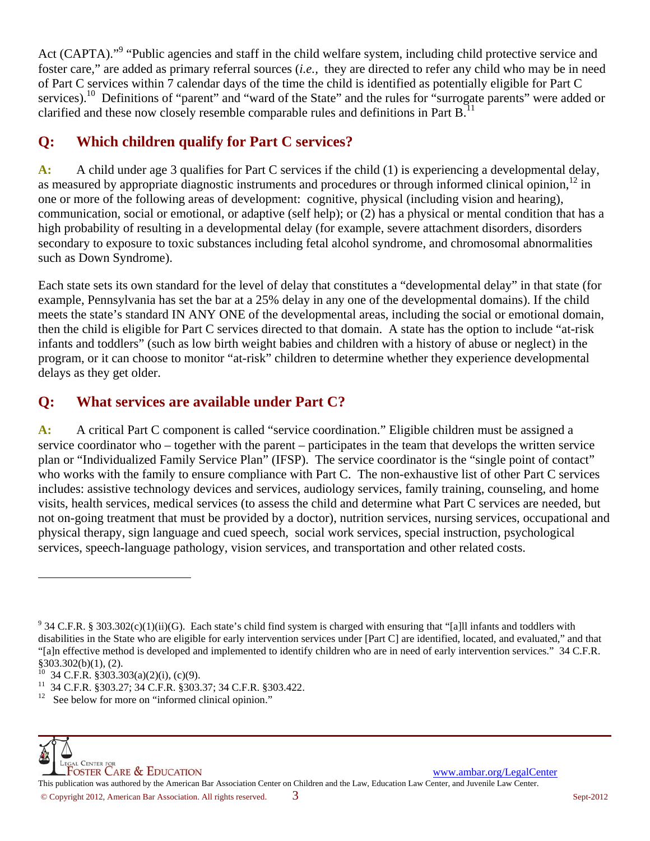Act (CAPTA)."<sup>9</sup> "Public agencies and staff in the child welfare system, including child protective service and foster care," are added as primary referral sources (*i.e.,* they are directed to refer any child who may be in need of Part C services within 7 calendar days of the time the child is identified as potentially eligible for Part C services).<sup>10</sup> Definitions of "parent" and "ward of the State" and the rules for "surrogate parents" were added or clarified and these now closely resemble comparable rules and definitions in Part  $B<sup>11</sup>$ 

# **Q: Which children qualify for Part C services?**

**A:** A child under age 3 qualifies for Part C services if the child (1) is experiencing a developmental delay, as measured by appropriate diagnostic instruments and procedures or through informed clinical opinion, $12$  in one or more of the following areas of development: cognitive, physical (including vision and hearing), communication, social or emotional, or adaptive (self help); or (2) has a physical or mental condition that has a high probability of resulting in a developmental delay (for example, severe attachment disorders, disorders secondary to exposure to toxic substances including fetal alcohol syndrome, and chromosomal abnormalities such as Down Syndrome).

Each state sets its own standard for the level of delay that constitutes a "developmental delay" in that state (for example, Pennsylvania has set the bar at a 25% delay in any one of the developmental domains). If the child meets the state's standard IN ANY ONE of the developmental areas, including the social or emotional domain, then the child is eligible for Part C services directed to that domain. A state has the option to include "at-risk infants and toddlers" (such as low birth weight babies and children with a history of abuse or neglect) in the program, or it can choose to monitor "at-risk" children to determine whether they experience developmental delays as they get older.

# **Q: What services are available under Part C?**

**A:** A critical Part C component is called "service coordination." Eligible children must be assigned a service coordinator who – together with the parent – participates in the team that develops the written service plan or "Individualized Family Service Plan" (IFSP). The service coordinator is the "single point of contact" who works with the family to ensure compliance with Part C. The non-exhaustive list of other Part C services includes: assistive technology devices and services, audiology services, family training, counseling, and home visits, health services, medical services (to assess the child and determine what Part C services are needed, but not on-going treatment that must be provided by a doctor), nutrition services, nursing services, occupational and physical therapy, sign language and cued speech, social work services, special instruction, psychological services, speech-language pathology, vision services, and transportation and other related costs.

 $\overline{\phantom{a}}$ 

<sup>&</sup>lt;sup>9</sup> 34 C.F.R. § 303.302(c)(1)(ii)(G). Each state's child find system is charged with ensuring that "[a]ll infants and toddlers with disabilities in the State who are eligible for early intervention services under [Part C] are identified, located, and evaluated," and that "[a]n effective method is developed and implemented to identify children who are in need of early intervention services." 34 C.F.R. §303.302(b)(1), (2).

<sup>10 34</sup> C.F.R. §303.303(a)(2)(i), (c)(9).

<sup>&</sup>lt;sup>11</sup> 34 C.F.R.  $\frac{2303.27}{34}$ ; 34 C.F.R.  $\frac{2303.37}{34}$ ; 34 C.F.R.  $\frac{2303.422}{34}$ .

See below for more on "informed clinical opinion."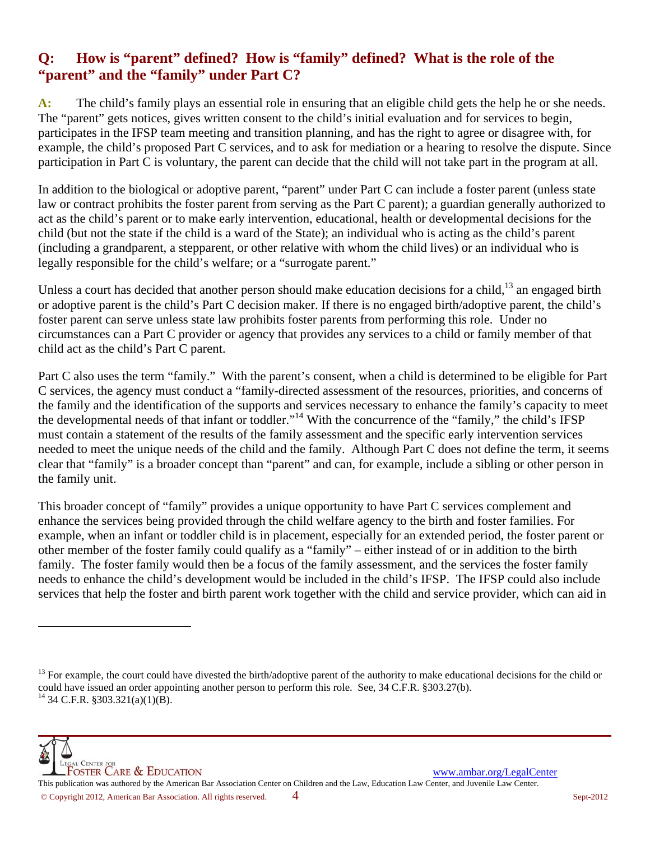## **Q: How is "parent" defined? How is "family" defined? What is the role of the "parent" and the "family" under Part C?**

A: The child's family plays an essential role in ensuring that an eligible child gets the help he or she needs. The "parent" gets notices, gives written consent to the child's initial evaluation and for services to begin, participates in the IFSP team meeting and transition planning, and has the right to agree or disagree with, for example, the child's proposed Part C services, and to ask for mediation or a hearing to resolve the dispute. Since participation in Part C is voluntary, the parent can decide that the child will not take part in the program at all.

In addition to the biological or adoptive parent, "parent" under Part C can include a foster parent (unless state law or contract prohibits the foster parent from serving as the Part C parent); a guardian generally authorized to act as the child's parent or to make early intervention, educational, health or developmental decisions for the child (but not the state if the child is a ward of the State); an individual who is acting as the child's parent (including a grandparent, a stepparent, or other relative with whom the child lives) or an individual who is legally responsible for the child's welfare; or a "surrogate parent."

Unless a court has decided that another person should make education decisions for a child,<sup>13</sup> an engaged birth or adoptive parent is the child's Part C decision maker. If there is no engaged birth/adoptive parent, the child's foster parent can serve unless state law prohibits foster parents from performing this role. Under no circumstances can a Part C provider or agency that provides any services to a child or family member of that child act as the child's Part C parent.

Part C also uses the term "family." With the parent's consent, when a child is determined to be eligible for Part C services, the agency must conduct a "family-directed assessment of the resources, priorities, and concerns of the family and the identification of the supports and services necessary to enhance the family's capacity to meet the developmental needs of that infant or toddler."14 With the concurrence of the "family," the child's IFSP must contain a statement of the results of the family assessment and the specific early intervention services needed to meet the unique needs of the child and the family. Although Part C does not define the term, it seems clear that "family" is a broader concept than "parent" and can, for example, include a sibling or other person in the family unit.

This broader concept of "family" provides a unique opportunity to have Part C services complement and enhance the services being provided through the child welfare agency to the birth and foster families. For example, when an infant or toddler child is in placement, especially for an extended period, the foster parent or other member of the foster family could qualify as a "family" – either instead of or in addition to the birth family. The foster family would then be a focus of the family assessment, and the services the foster family needs to enhance the child's development would be included in the child's IFSP. The IFSP could also include services that help the foster and birth parent work together with the child and service provider, which can aid in

 $\overline{a}$ 

<sup>&</sup>lt;sup>13</sup> For example, the court could have divested the birth/adoptive parent of the authority to make educational decisions for the child or could have issued an order appointing another person to perform this role. See, 34 C.F.R. §303.27(b).  $^{14}$  34 C.F.R. §303.321(a)(1)(B).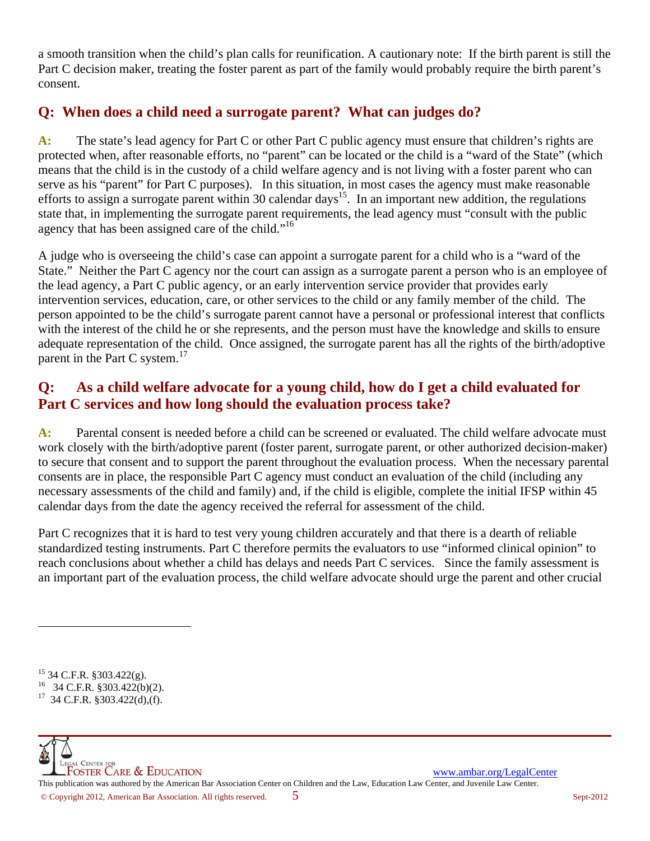a smooth transition when the child's plan calls for reunification. A cautionary note: If the birth parent is still the Part C decision maker, treating the foster parent as part of the family would probably require the birth parent's consent.

## **Q: When does a child need a surrogate parent? What can judges do?**

**A:** The state's lead agency for Part C or other Part C public agency must ensure that children's rights are protected when, after reasonable efforts, no "parent" can be located or the child is a "ward of the State" (which means that the child is in the custody of a child welfare agency and is not living with a foster parent who can serve as his "parent" for Part C purposes). In this situation, in most cases the agency must make reasonable efforts to assign a surrogate parent within 30 calendar days<sup>15</sup>. In an important new addition, the regulations state that, in implementing the surrogate parent requirements, the lead agency must "consult with the public agency that has been assigned care of the child."<sup>16</sup>

A judge who is overseeing the child's case can appoint a surrogate parent for a child who is a "ward of the State." Neither the Part C agency nor the court can assign as a surrogate parent a person who is an employee of the lead agency, a Part C public agency, or an early intervention service provider that provides early intervention services, education, care, or other services to the child or any family member of the child. The person appointed to be the child's surrogate parent cannot have a personal or professional interest that conflicts with the interest of the child he or she represents, and the person must have the knowledge and skills to ensure adequate representation of the child. Once assigned, the surrogate parent has all the rights of the birth/adoptive parent in the Part C system. $^{17}$ 

# **Q: As a child welfare advocate for a young child, how do I get a child evaluated for Part C services and how long should the evaluation process take?**

**A:** Parental consent is needed before a child can be screened or evaluated. The child welfare advocate must work closely with the birth/adoptive parent (foster parent, surrogate parent, or other authorized decision-maker) to secure that consent and to support the parent throughout the evaluation process. When the necessary parental consents are in place, the responsible Part C agency must conduct an evaluation of the child (including any necessary assessments of the child and family) and, if the child is eligible, complete the initial IFSP within 45 calendar days from the date the agency received the referral for assessment of the child.

Part C recognizes that it is hard to test very young children accurately and that there is a dearth of reliable standardized testing instruments. Part C therefore permits the evaluators to use "informed clinical opinion" to reach conclusions about whether a child has delays and needs Part C services. Since the family assessment is an important part of the evaluation process, the child welfare advocate should urge the parent and other crucial

 $\overline{a}$ 

<sup>15 34</sup> C.F.R. §303.422(g).

<sup>16 34</sup> C.F.R. §303.422(b)(2).

 $17$  34 C.F.R. §303.422(d),(f).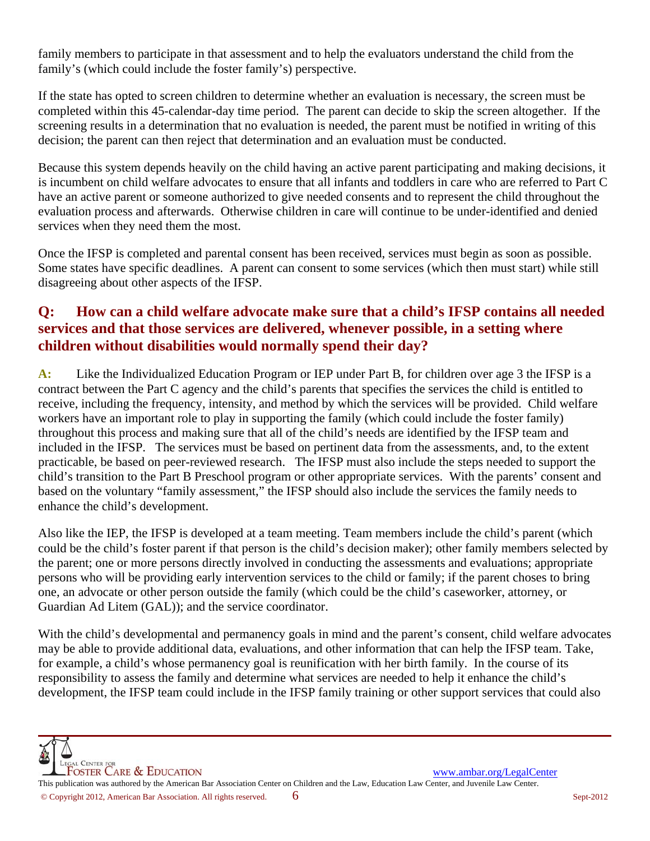family members to participate in that assessment and to help the evaluators understand the child from the family's (which could include the foster family's) perspective.

If the state has opted to screen children to determine whether an evaluation is necessary, the screen must be completed within this 45-calendar-day time period. The parent can decide to skip the screen altogether. If the screening results in a determination that no evaluation is needed, the parent must be notified in writing of this decision; the parent can then reject that determination and an evaluation must be conducted.

Because this system depends heavily on the child having an active parent participating and making decisions, it is incumbent on child welfare advocates to ensure that all infants and toddlers in care who are referred to Part C have an active parent or someone authorized to give needed consents and to represent the child throughout the evaluation process and afterwards. Otherwise children in care will continue to be under-identified and denied services when they need them the most.

Once the IFSP is completed and parental consent has been received, services must begin as soon as possible. Some states have specific deadlines. A parent can consent to some services (which then must start) while still disagreeing about other aspects of the IFSP.

## **Q: How can a child welfare advocate make sure that a child's IFSP contains all needed services and that those services are delivered, whenever possible, in a setting where children without disabilities would normally spend their day?**

**A:** Like the Individualized Education Program or IEP under Part B, for children over age 3 the IFSP is a contract between the Part C agency and the child's parents that specifies the services the child is entitled to receive, including the frequency, intensity, and method by which the services will be provided. Child welfare workers have an important role to play in supporting the family (which could include the foster family) throughout this process and making sure that all of the child's needs are identified by the IFSP team and included in the IFSP. The services must be based on pertinent data from the assessments, and, to the extent practicable, be based on peer-reviewed research. The IFSP must also include the steps needed to support the child's transition to the Part B Preschool program or other appropriate services. With the parents' consent and based on the voluntary "family assessment," the IFSP should also include the services the family needs to enhance the child's development.

Also like the IEP, the IFSP is developed at a team meeting. Team members include the child's parent (which could be the child's foster parent if that person is the child's decision maker); other family members selected by the parent; one or more persons directly involved in conducting the assessments and evaluations; appropriate persons who will be providing early intervention services to the child or family; if the parent choses to bring one, an advocate or other person outside the family (which could be the child's caseworker, attorney, or Guardian Ad Litem (GAL)); and the service coordinator.

With the child's developmental and permanency goals in mind and the parent's consent, child welfare advocates may be able to provide additional data, evaluations, and other information that can help the IFSP team. Take, for example, a child's whose permanency goal is reunification with her birth family. In the course of its responsibility to assess the family and determine what services are needed to help it enhance the child's development, the IFSP team could include in the IFSP family training or other support services that could also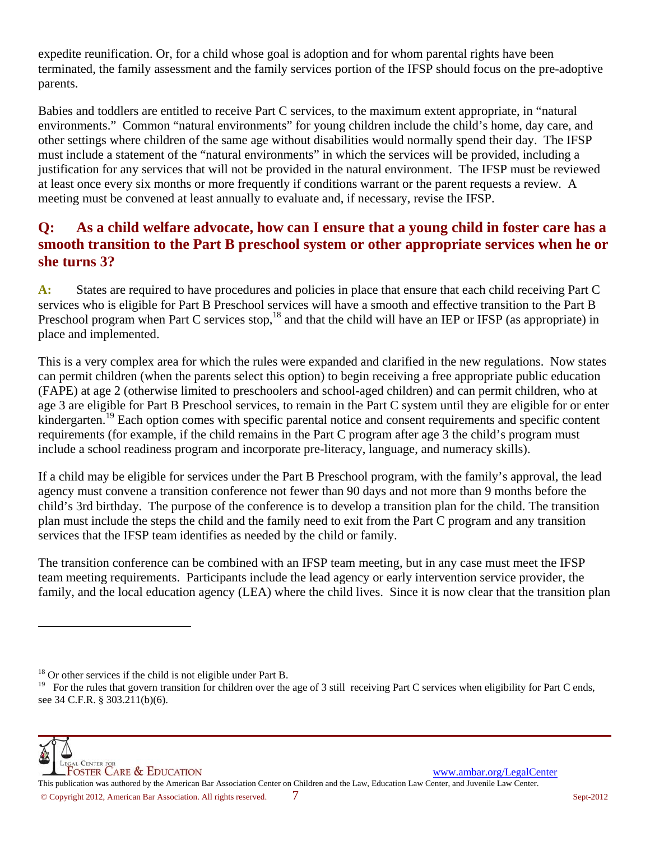expedite reunification. Or, for a child whose goal is adoption and for whom parental rights have been terminated, the family assessment and the family services portion of the IFSP should focus on the pre-adoptive parents.

Babies and toddlers are entitled to receive Part C services, to the maximum extent appropriate, in "natural environments." Common "natural environments" for young children include the child's home, day care, and other settings where children of the same age without disabilities would normally spend their day. The IFSP must include a statement of the "natural environments" in which the services will be provided, including a justification for any services that will not be provided in the natural environment. The IFSP must be reviewed at least once every six months or more frequently if conditions warrant or the parent requests a review. A meeting must be convened at least annually to evaluate and, if necessary, revise the IFSP.

## **Q: As a child welfare advocate, how can I ensure that a young child in foster care has a smooth transition to the Part B preschool system or other appropriate services when he or she turns 3?**

**A:** States are required to have procedures and policies in place that ensure that each child receiving Part C services who is eligible for Part B Preschool services will have a smooth and effective transition to the Part B Preschool program when Part C services stop,<sup>18</sup> and that the child will have an IEP or IFSP (as appropriate) in place and implemented.

This is a very complex area for which the rules were expanded and clarified in the new regulations. Now states can permit children (when the parents select this option) to begin receiving a free appropriate public education (FAPE) at age 2 (otherwise limited to preschoolers and school-aged children) and can permit children, who at age 3 are eligible for Part B Preschool services, to remain in the Part C system until they are eligible for or enter kindergarten.<sup>19</sup> Each option comes with specific parental notice and consent requirements and specific content requirements (for example, if the child remains in the Part C program after age 3 the child's program must include a school readiness program and incorporate pre-literacy, language, and numeracy skills).

If a child may be eligible for services under the Part B Preschool program, with the family's approval, the lead agency must convene a transition conference not fewer than 90 days and not more than 9 months before the child's 3rd birthday. The purpose of the conference is to develop a transition plan for the child. The transition plan must include the steps the child and the family need to exit from the Part C program and any transition services that the IFSP team identifies as needed by the child or family.

The transition conference can be combined with an IFSP team meeting, but in any case must meet the IFSP team meeting requirements. Participants include the lead agency or early intervention service provider, the family, and the local education agency (LEA) where the child lives. Since it is now clear that the transition plan



 $\overline{a}$ 

 $18$  Or other services if the child is not eligible under Part B.

<sup>&</sup>lt;sup>19</sup> For the rules that govern transition for children over the age of 3 still receiving Part C services when eligibility for Part C ends, see 34 C.F.R. § 303.211(b)(6).